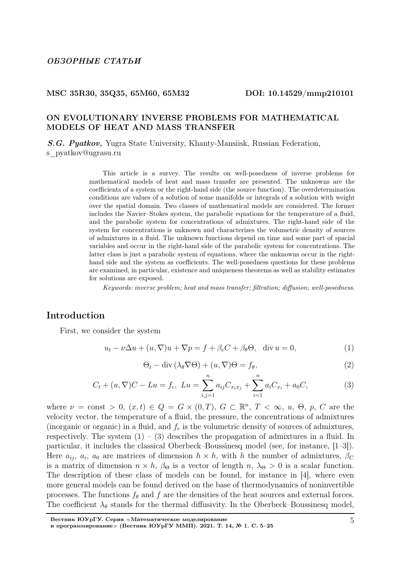#### MSC 35R30, 35Q35, 65M60, 65M32 DOI: 10.14529/mmp210101

# ON EVOLUTIONARY INVERSE PROBLEMS FOR MATHEMATICAL MODELS OF HEAT AND MASS TRANSFER

S.G. Pyatkov, Yugra State University, Khanty-Mansiisk, Russian Federation,

s pyatkov@ugrasu.ru

This article is a survey. The results on well-posedness of inverse problems for mathematical models of heat and mass transfer are presented. The unknowns are the coefficients of a system or the right-hand side (the source function). The overdetermination conditions are values of a solution of some manifolds or integrals of a solution with weight over the spatial domain. Two classes of mathematical models are considered. The former includes the Navier–Stokes system, the parabolic equations for the temperature of a fluid, and the parabolic system for concentrations of admixtures. The right-hand side of the system for concentrations is unknown and characterizes the volumetric density of sources of admixtures in a fluid. The unknown functions depend on time and some part of spacial variables and occur in the right-hand side of the parabolic system for concentrations. The latter class is just a parabolic system of equations, where the unknowns occur in the righthand side and the system as coefficients. The well-posedness questions for these problems are examined, in particular, existence and uniqueness theorems as well as stability estimates for solutions are exposed.

Keywords: inverse problem; heat and mass transfer; filtration; diffusion; well-posedness.

# Introduction

First, we consider the system

$$
u_t - \nu \Delta u + (u, \nabla)u + \nabla p = f + \beta_c C + \beta_\theta \Theta, \quad \text{div } u = 0,
$$
\n(1)

$$
\Theta_t - \text{div}\left(\lambda_\theta \nabla \Theta\right) + (u, \nabla)\Theta = f_\theta,\tag{2}
$$

$$
C_t + (u, \nabla)C - Lu = f_c, \ Lu = \sum_{i,j=1}^n a_{ij} C_{x_i x_j} + \sum_{i=1}^n a_i C_{x_i} + a_0 C,
$$
 (3)

where  $\nu = \text{const} > 0$ ,  $(x, t) \in Q = G \times (0, T)$ ,  $G \subset \mathbb{R}^n$ ,  $T < \infty$ , u,  $\Theta$ , p, C are the velocity vector, the temperature of a fluid, the pressure, the concentrations of admixtures (inorganic or organic) in a fluid, and  $f_c$  is the volumetric density of sources of admixtures, respectively. The system  $(1) - (3)$  describes the propagation of admixtures in a fluid. In particular, it includes the classical Oberbeck–Boussinesq model (see, for instance, [1–3]). Here  $a_{ij}$ ,  $a_i$ ,  $a_0$  are matrices of dimension  $h \times h$ , with h the number of admixtures,  $\beta_C$ is a matrix of dimension  $n \times h$ ,  $\beta_{\Theta}$  is a vector of length  $n$ ,  $\lambda_{\Theta} > 0$  is a scalar function. The description of these class of models can be found, for instance in [4], where even more general models can be found derived on the base of thermodynamics of noninvertible processes. The functions  $f_{\theta}$  and f are the densities of the heat sources and external forces. The coefficient  $\lambda_{\theta}$  stands for the thermal diffusivity. In the Oberbeck–Boussinesq model,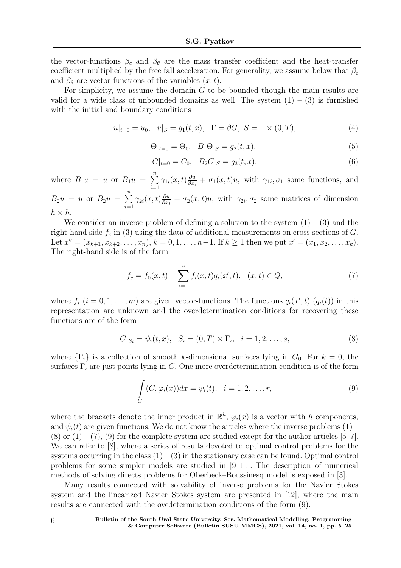the vector-functions  $\beta_c$  and  $\beta_\theta$  are the mass transfer coefficient and the heat-transfer coefficient multiplied by the free fall acceleration. For generality, we assume below that  $\beta_c$ and  $\beta_{\theta}$  are vector-functions of the variables  $(x, t)$ .

For simplicity, we assume the domain  $G$  to be bounded though the main results are valid for a wide class of unbounded domains as well. The system  $(1) - (3)$  is furnished with the initial and boundary conditions

$$
u|_{t=0} = u_0, \quad u|_S = g_1(t, x), \quad \Gamma = \partial G, \quad S = \Gamma \times (0, T), \tag{4}
$$

$$
\Theta|_{t=0} = \Theta_0, \quad B_1 \Theta|_S = g_2(t, x), \tag{5}
$$

$$
C|_{t=0} = C_0, \quad B_2 C|_S = g_3(t, x), \tag{6}
$$

where  $B_1u = u$  or  $B_1u = \sum^n$  $i=1$  $\gamma_{1i}(x,t)\frac{\partial u}{\partial x_i}$  $\frac{\partial u}{\partial x_i} + \sigma_1(x,t)u$ , with  $\gamma_{1i}, \sigma_1$  some functions, and

 $B_2u = u$  or  $B_2u = \sum^n$  $\frac{i=1}{i}$  $\gamma_{2i}(x,t)\frac{\partial u}{\partial x_i}$  $\frac{\partial u}{\partial x_i} + \sigma_2(x,t)u$ , with  $\gamma_{2i}, \sigma_2$  some matrices of dimension  $h \times h$ .

We consider an inverse problem of defining a solution to the system  $(1) - (3)$  and the right-hand side  $f_c$  in (3) using the data of additional measurements on cross-sections of G. Let  $x'' = (x_{k+1}, x_{k+2}, \ldots, x_n), k = 0, 1, \ldots, n-1$ . If  $k \ge 1$  then we put  $x' = (x_1, x_2, \ldots, x_k)$ . The right-hand side is of the form

$$
f_c = f_0(x, t) + \sum_{i=1}^r f_i(x, t) q_i(x', t), \quad (x, t) \in Q,
$$
\n<sup>(7)</sup>

where  $f_i$   $(i = 0, 1, ..., m)$  are given vector-functions. The functions  $q_i(x', t)$   $(q_i(t))$  in this representation are unknown and the overdetermination conditions for recovering these functions are of the form

$$
C|_{S_i} = \psi_i(t, x), \quad S_i = (0, T) \times \Gamma_i, \quad i = 1, 2, \dots, s,
$$
\n(8)

where  $\{\Gamma_i\}$  is a collection of smooth k-dimensional surfaces lying in  $G_0$ . For  $k = 0$ , the surfaces  $\Gamma_i$  are just points lying in G. One more overdetermination condition is of the form

$$
\int_{G} (C, \varphi_i(x)) dx = \psi_i(t), \quad i = 1, 2, \dots, r,
$$
\n(9)

where the brackets denote the inner product in  $\mathbb{R}^h$ ,  $\varphi_i(x)$  is a vector with h components, and  $\psi_i(t)$  are given functions. We do not know the articles where the inverse problems (1) –  $(8)$  or  $(1) - (7)$ ,  $(9)$  for the complete system are studied except for the author articles [5–7]. We can refer to [8], where a series of results devoted to optimal control problems for the systems occurring in the class  $(1) - (3)$  in the stationary case can be found. Optimal control problems for some simpler models are studied in  $|9-11|$ . The description of numerical methods of solving directs problems for Oberbeck–Boussinesq model is exposed in [3].

Many results connected with solvability of inverse problems for the Navier–Stokes system and the linearized Navier–Stokes system are presented in [12], where the main results are connected with the ovedetermination conditions of the form (9).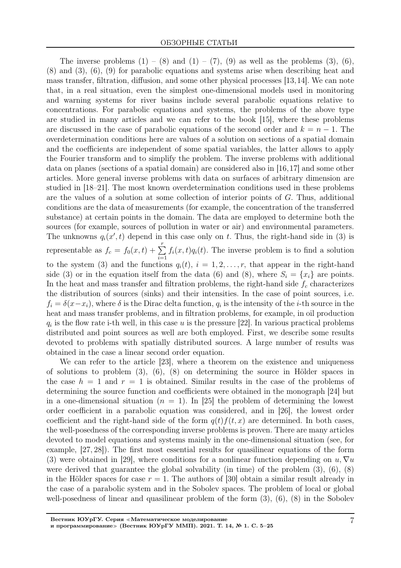The inverse problems  $(1) - (8)$  and  $(1) - (7)$ ,  $(9)$  as well as the problems  $(3)$ ,  $(6)$ , (8) and (3), (6), (9) for parabolic equations and systems arise when describing heat and mass transfer, filtration, diffusion, and some other physical processes [13,14]. We can note that, in a real situation, even the simplest one-dimensional models used in monitoring and warning systems for river basins include several parabolic equations relative to concentrations. For parabolic equations and systems, the problems of the above type are studied in many articles and we can refer to the book [15], where these problems are discussed in the case of parabolic equations of the second order and  $k = n - 1$ . The overdetermination conditions here are values of a solution on sections of a spatial domain and the coefficients are independent of some spatial variables, the latter allows to apply the Fourier transform and to simplify the problem. The inverse problems with additional data on planes (sections of a spatial domain) are considered also in [16,17] and some other articles. More general inverse problems with data on surfaces of arbitrary dimension are studied in [18–21]. The most known overdetermination conditions used in these problems are the values of a solution at some collection of interior points of G. Thus, additional conditions are the data of measurements (for example, the concentration of the transferred substance) at certain points in the domain. The data are employed to determine both the sources (for example, sources of pollution in water or air) and environmental parameters. The unknowns  $q_i(x', t)$  depend in this case only on t. Thus, the right-hand side in (3) is representable as  $f_c = f_0(x, t) + \sum^r$  $i=1$  $f_i(x, t)q_i(t)$ . The inverse problem is to find a solution to the system (3) and the functions  $q_i(t)$ ,  $i = 1, 2, \ldots, r$ , that appear in the right-hand side (3) or in the equation itself from the data (6) and (8), where  $S_i = \{x_i\}$  are points. In the heat and mass transfer and filtration problems, the right-hand side  $f_c$  characterizes the distribution of sources (sinks) and their intensities. In the case of point sources, i.e.  $f_i = \delta(x - x_i)$ , where  $\delta$  is the Dirac delta function,  $q_i$  is the intensity of the *i*-th source in the heat and mass transfer problems, and in filtration problems, for example, in oil production  $q_i$  is the flow rate i-th well, in this case u is the pressure [22]. In various practical problems distributed and point sources as well are both employed. First, we describe some results devoted to problems with spatially distributed sources. A large number of results was obtained in the case a linear second order equation.

We can refer to the article [23], where a theorem on the existence and uniqueness of solutions to problem  $(3)$ ,  $(6)$ ,  $(8)$  on determining the source in Hölder spaces in the case  $h = 1$  and  $r = 1$  is obtained. Similar results in the case of the problems of determining the source function and coefficients were obtained in the monograph [24] but in a one-dimensional situation  $(n = 1)$ . In [25] the problem of determining the lowest order coefficient in a parabolic equation was considered, and in [26], the lowest order coefficient and the right-hand side of the form  $q(t) f(t, x)$  are determined. In both cases, the well-posedness of the corresponding inverse problems is proven. There are many articles devoted to model equations and systems mainly in the one-dimensional situation (see, for example, [27, 28]). The first most essential results for quasilinear equations of the form (3) were obtained in [29], where conditions for a nonlinear function depending on  $u, \nabla u$ were derived that guarantee the global solvability (in time) of the problem  $(3)$ ,  $(6)$ ,  $(8)$ in the Hölder spaces for case  $r = 1$ . The authors of [30] obtain a similar result already in the case of a parabolic system and in the Sobolev spaces. The problem of local or global well-posedness of linear and quasilinear problem of the form (3), (6), (8) in the Sobolev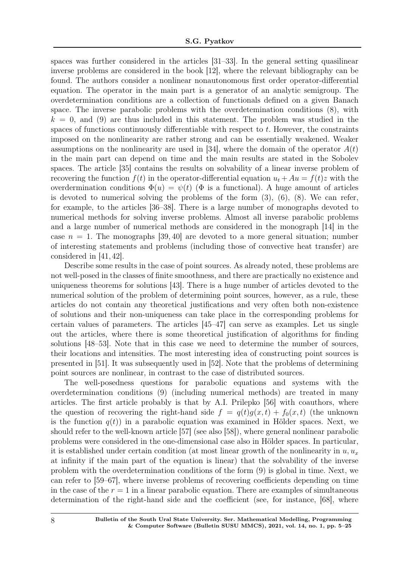spaces was further considered in the articles [31–33]. In the general setting quasilinear inverse problems are considered in the book [12], where the relevant bibliography can be found. The authors consider a nonlinear nonautonomous first order operator-differential equation. The operator in the main part is a generator of an analytic semigroup. The overdetermination conditions are a collection of functionals defined on a given Banach space. The inverse parabolic problems with the overdetemination conditions (8), with  $k = 0$ , and (9) are thus included in this statement. The problem was studied in the spaces of functions continuously differentiable with respect to t. However, the constraints imposed on the nonlinearity are rather strong and can be essentially weakened. Weaker assumptions on the nonlinearity are used in [34], where the domain of the operator  $A(t)$ in the main part can depend on time and the main results are stated in the Sobolev spaces. The article [35] contains the results on solvability of a linear inverse problem of recovering the function  $f(t)$  in the operator-differential equation  $u_t + Au = f(t)z$  with the overdermination conditions  $\Phi(u) = \psi(t)$  ( $\Phi$  is a functional). A huge amount of articles is devoted to numerical solving the problems of the form  $(3)$ ,  $(6)$ ,  $(8)$ . We can refer, for example, to the articles [36–38]. There is a large number of monographs devoted to numerical methods for solving inverse problems. Almost all inverse parabolic problems and a large number of numerical methods are considered in the monograph [14] in the case  $n = 1$ . The monographs [39, 40] are devoted to a more general situation; number of interesting statements and problems (including those of convective heat transfer) are considered in [41, 42].

Describe some results in the case of point sources. As already noted, these problems are not well-posed in the classes of finite smoothness, and there are practically no existence and uniqueness theorems for solutions [43]. There is a huge number of articles devoted to the numerical solution of the problem of determining point sources, however, as a rule, these articles do not contain any theoretical justifications and very often both non-existence of solutions and their non-uniqueness can take place in the corresponding problems for certain values of parameters. The articles [45–47] can serve as examples. Let us single out the articles, where there is some theoretical justification of algorithms for finding solutions [48–53]. Note that in this case we need to determine the number of sources, their locations and intensities. The most interesting idea of constructing point sources is presented in [51]. It was subsequently used in [52]. Note that the problems of determining point sources are nonlinear, in contrast to the case of distributed sources.

The well-posedness questions for parabolic equations and systems with the overdetermination conditions (9) (including numerical methods) are treated in many articles. The first article probably is that by A.I. Prilepko [56] with coauthors, where the question of recovering the right-hand side  $f = q(t)g(x, t) + f_0(x, t)$  (the unknown is the function  $q(t)$  in a parabolic equation was examined in Hölder spaces. Next, we should refer to the well-known article [57] (see also [58]), where general nonlinear parabolic problems were considered in the one-dimensional case also in Hölder spaces. In particular, it is established under certain condition (at most linear growth of the nonlinearity in  $u, u_x$ at infinity if the main part of the equation is linear) that the solvability of the inverse problem with the overdetermination conditions of the form (9) is global in time. Next, we can refer to [59–67], where inverse problems of recovering coefficients depending on time in the case of the  $r = 1$  in a linear parabolic equation. There are examples of simultaneous determination of the right-hand side and the coefficient (see, for instance, [68], where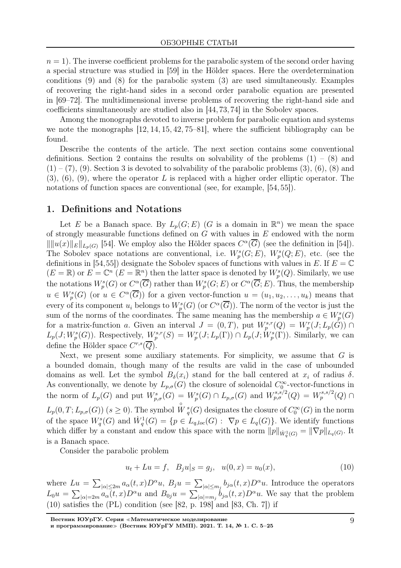$n = 1$ . The inverse coefficient problems for the parabolic system of the second order having a special structure was studied in [59] in the Hölder spaces. Here the overdetermination conditions (9) and (8) for the parabolic system (3) are used simultaneously. Examples of recovering the right-hand sides in a second order parabolic equation are presented in [69–72]. The multidimensional inverse problems of recovering the right-hand side and coefficients simultaneously are studied also in [44, 73, 74] in the Sobolev spaces.

Among the monographs devoted to inverse problem for parabolic equation and systems we note the monographs [12, 14, 15, 42, 75–81], where the sufficient bibliography can be found.

Describe the contents of the article. The next section contains some conventional definitions. Section 2 contains the results on solvability of the problems  $(1) - (8)$  and  $(1) - (7)$ ,  $(9)$ . Section 3 is devoted to solvability of the parabolic problems  $(3)$ ,  $(6)$ ,  $(8)$  and  $(3)$ ,  $(6)$ ,  $(9)$ , where the operator L is replaced with a higher order elliptic operator. The notations of function spaces are conventional (see, for example, [54, 55]).

### 1. Definitions and Notations

Let E be a Banach space. By  $L_p(G; E)$  (G is a domain in  $\mathbb{R}^n$ ) we mean the space of strongly measurable functions defined on  $G$  with values in  $E$  endowed with the norm  $\|\|u(x)\|_E\|_{L_p(G)}$  [54]. We employ also the Hölder spaces  $C^{\alpha}(\overline{G})$  (see the definition in [54]). The Sobolev space notations are conventional, i.e.  $W_p^s(G; E)$ ,  $W_p^s(Q; E)$ , etc. (see the definitions in [54,55]) designate the Sobolev spaces of functions with values in E. If  $E = \mathbb{C}$  $(E = \mathbb{R})$  or  $E = \mathbb{C}^n$   $(E = \mathbb{R}^n)$  then the latter space is denoted by  $W_p^s(Q)$ . Similarly, we use the notations  $W_p^s(G)$  or  $C^{\alpha}(\overline{G})$  rather than  $W_p^s(G; E)$  or  $C^{\alpha}(\overline{G}; E)$ . Thus, the membership  $u \in W_p^s(G)$  (or  $u \in C^{\alpha}(\overline{G})$ ) for a given vector-function  $u = (u_1, u_2, \ldots, u_k)$  means that every of its component  $u_i$  belongs to  $W_p^s(G)$  (or  $C^{\alpha}(\overline{G})$ ). The norm of the vector is just the sum of the norms of the coordinates. The same meaning has the membership  $a \in W_p^s(G)$ for a matrix-function a. Given an interval  $J = (0,T)$ , put  $W_p^{s,r}(Q) = W_p^r(J; L_p(\tilde{G})) \cap$  $L_p(J;W^s_p(G))$ . Respectively,  $W^{s,r}_p(S) = W^r_p(J;L_p(\Gamma)) \cap L_p(J;W^s_p(\Gamma))$ . Similarly, we can define the Hölder space  $C^{r,s}(\overline{Q})$ .

Next, we present some auxiliary statements. For simplicity, we assume that  $G$  is a bounded domain, though many of the results are valid in the case of unbounded domains as well. Let the symbol  $B_{\delta}(x_i)$  stand for the ball centered at  $x_i$  of radius  $\delta$ . As conventionally, we denote by  $L_{p,\sigma}(G)$  the closure of solenoidal  $C_0^{\infty}$ -vector-functions in the norm of  $L_p(G)$  and put  $W^s_{p,\sigma}(G) = W^s_p(G) \cap L_{p,\sigma}(G)$  and  $W^{s,s/2}_{p,\sigma}(Q) = W^{s,s/2}_p(Q) \cap L_{p,\sigma}(G)$  $L_p(0,T; L_{p,\sigma}(G))$   $(s \ge 0)$ . The symbol  $\overset{\circ}{W}{}_q^s(G)$  designates the closure of  $C_0^{\infty}(G)$  in the norm of the space  $W_q^s(G)$  and  $\dot{W}_q^1(G) = \{p \in L_{q,loc}(G) : \nabla p \in L_q(G)\}\.$  We identify functions which differ by a constant and endow this space with the norm  $||p||_{\dot{W}_q^1(G)} = ||\nabla p||_{L_q(G)}$ . It is a Banach space.

Consider the parabolic problem

$$
u_t + Lu = f, \quad B_j u|_S = g_j, \quad u(0, x) = u_0(x), \tag{10}
$$

where  $Lu = \sum_{|\alpha| \leq 2m} a_{\alpha}(t, x) D^{\alpha}u$ ,  $B_j u = \sum_{|\alpha| \leq m_j} b_{j\alpha}(t, x) D^{\alpha}u$ . Introduce the operators  $L_0u = \sum_{|\alpha|=2m} a_{\alpha}(t,x)D^{\alpha}u$  and  $B_{0j}u = \sum_{|\alpha|=m_j} b_{j\alpha}(t,x)D^{\alpha}u$ . We say that the problem  $(10)$  satisfies the  $(PL)$  condition (see [82, p. 198] and [83, Ch. 7]) if

Вестник ЮУрГУ. Серия <sup>≪</sup>Математическое моделирование

и программирование» (Вестник ЮУрГУ ММП). 2021. Т. 14, № 1. С. 5-25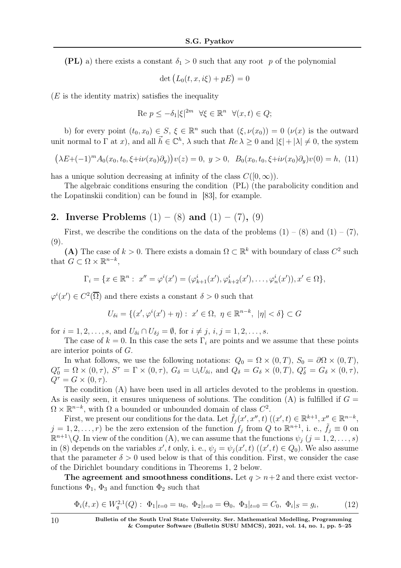(PL) a) there exists a constant  $\delta_1 > 0$  such that any root p of the polynomial

$$
\det \big( L_0(t, x, i\xi) + pE \big) = 0
$$

 $(E)$  is the identity matrix) satisfies the inequality

$$
Re\ p \le -\delta_1 |\xi|^{2m} \ \ \forall \xi \in \mathbb{R}^n \ \ \forall (x,t) \in Q;
$$

b) for every point  $(t_0, x_0) \in S$ ,  $\xi \in \mathbb{R}^n$  such that  $(\xi, \nu(x_0)) = 0$   $(\nu(x)$  is the outward unit normal to  $\Gamma$  at x), and all  $\vec{h} \in \mathbb{C}^h$ ,  $\lambda$  such that  $Re \lambda \geq 0$  and  $|\xi| + |\lambda| \neq 0$ , the system

$$
(\lambda E + (-1)^m A_0(x_0, t_0, \xi + i\nu(x_0)\partial_y))v(z) = 0, \ y > 0, \ B_0(x_0, t_0, \xi + i\nu(x_0)\partial_y)v(0) = h, \ (11)
$$

has a unique solution decreasing at infinity of the class  $C([0,\infty))$ .

The algebraic conditions ensuring the condition (PL) (the parabolicity condition and the Lopatinskii condition) can be found in [83], for example.

# 2. Inverse Problems  $(1) - (8)$  and  $(1) - (7)$ ,  $(9)$

First, we describe the conditions on the data of the problems  $(1) - (8)$  and  $(1) - (7)$ , (9).

(A) The case of  $k > 0$ . There exists a domain  $\Omega \subset \mathbb{R}^k$  with boundary of class  $C^2$  such that  $G \subset \Omega \times \mathbb{R}^{n-k}$ ,

$$
\Gamma_i = \{ x \in \mathbb{R}^n : x'' = \varphi^i(x') = (\varphi^i_{k+1}(x'), \varphi^i_{k+2}(x'), \dots, \varphi^i_n(x')), x' \in \Omega \},\
$$

 $\varphi^i(x') \in C^2(\overline{\Omega})$  and there exists a constant  $\delta > 0$  such that

$$
U_{\delta i} = \{ (x', \varphi^i(x') + \eta) : x' \in \Omega, \ \eta \in \mathbb{R}^{n-k}, \ |\eta| < \delta \} \subset G
$$

for  $i = 1, 2, ..., s$ , and  $U_{\delta i} \cap U_{\delta j} = \emptyset$ , for  $i \neq j$ ,  $i, j = 1, 2, ..., s$ .

The case of  $k = 0$ . In this case the sets  $\Gamma_i$  are points and we assume that these points are interior points of G.

In what follows, we use the following notations:  $Q_0 = \Omega \times (0,T)$ ,  $S_0 = \partial \Omega \times (0,T)$ ,  $Q_0^{\tau} = \Omega \times (0, \tau), S^{\tau} = \Gamma \times (0, \tau), G_{\delta} = \cup_i U_{\delta i}, \text{ and } Q_{\delta} = G_{\delta} \times (0, T), Q_{\delta}^{\tau} = G_{\delta} \times (0, \tau),$  $Q^{\tau} = G \times (0, \tau).$ 

The condition (A) have been used in all articles devoted to the problems in question. As is easily seen, it ensures uniqueness of solutions. The condition (A) is fulfilled if  $G =$  $\Omega \times \mathbb{R}^{n-k}$ , with  $\Omega$  a bounded or unbounded domain of class  $C^2$ .

First, we present our conditions for the data. Let  $\tilde{f}_j(x',x'',t)$   $((x',t) \in \mathbb{R}^{k+1}, x'' \in \mathbb{R}^{n-k},$  $j = 1, 2, \ldots, r$  be the zero extension of the function  $f_j$  from Q to  $\mathbb{R}^{n+1}$ , i. e.,  $\tilde{f}_j \equiv 0$  on  $\mathbb{R}^{n+1} \backslash Q$ . In view of the condition (A), we can assume that the functions  $\psi_j$   $(j = 1, 2, \ldots, s)$ in (8) depends on the variables x', t only, i. e.,  $\psi_j = \psi_j(x', t)$   $((x', t) \in Q_0)$ . We also assume that the parameter  $\delta > 0$  used below is that of this condition. First, we consider the case of the Dirichlet boundary conditions in Theorems 1, 2 below.

The agreement and smoothness conditions. Let  $q > n+2$  and there exist vectorfunctions  $\Phi_1$ ,  $\Phi_3$  and function  $\Phi_2$  such that

$$
\Phi_i(t, x) \in W_q^{2,1}(Q): \ \Phi_1|_{t=0} = u_0, \ \Phi_2|_{t=0} = \Theta_0, \ \Phi_3|_{t=0} = C_0, \ \Phi_i|_{S} = g_i,
$$
\n(12)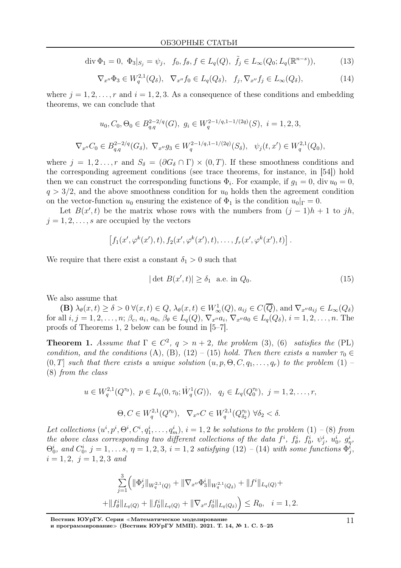$$
\operatorname{div} \Phi_1 = 0, \ \Phi_3|_{S_j} = \psi_j, \ \ f_0, f_\theta, f \in L_q(Q), \ \tilde{f}_j \in L_\infty(Q_0; L_q(\mathbb{R}^{n-s})), \tag{13}
$$

$$
\nabla_{x''}\Phi_3 \in W_q^{2,1}(Q_\delta), \quad \nabla_{x''}f_0 \in L_q(Q_\delta), \quad f_j, \nabla_{x''}f_j \in L_\infty(Q_\delta),\tag{14}
$$

where  $j = 1, 2, \ldots, r$  and  $i = 1, 2, 3$ . As a consequence of these conditions and embedding theorems, we can conclude that

$$
u_0, C_0, \Theta_0 \in B_{q,q}^{2-2/q}(G), \ g_i \in W_q^{2-1/q,1-1/(2q)}(S), \ i = 1, 2, 3,
$$
  

$$
\nabla_{x''} C_0 \in B_{q,q}^{2-2/q}(G_\delta), \ \nabla_{x''} g_3 \in W_q^{2-1/q,1-1/(2q)}(S_\delta), \ \ \psi_j(t, x') \in W_q^{2,1}(Q_0),
$$

where  $j = 1, 2, ..., r$  and  $S_{\delta} = (\partial G_{\delta} \cap \Gamma) \times (0, T)$ . If these smoothness conditions and the corresponding agreement conditions (see trace theorems, for instance, in [54]) hold then we can construct the corresponding functions  $\Phi_i$ . For example, if  $g_1 = 0$ , div  $u_0 = 0$ ,  $q > 3/2$ , and the above smoothness condition for  $u_0$  holds then the agreement condition on the vector-function  $u_0$  ensuring the existence of  $\Phi_1$  is the condition  $u_0|_{\Gamma} = 0$ .

Let  $B(x',t)$  be the matrix whose rows with the numbers from  $(j-1)h+1$  to jh,  $j = 1, 2, \ldots, s$  are occupied by the vectors

$$
[f_1(x',\varphi^k(x'),t), f_2(x',\varphi^k(x'),t), \ldots, f_r(x',\varphi^k(x'),t)].
$$

We require that there exist a constant  $\delta_1 > 0$  such that

$$
|\det B(x',t)| \ge \delta_1 \quad \text{a.e. in } Q_0. \tag{15}
$$

We also assume that

**(B)**  $\lambda_{\theta}(x,t) \ge \delta > 0$   $\forall (x,t) \in Q$ ,  $\lambda_{\theta}(x,t) \in W_{\infty}^{1}(Q)$ ,  $a_{ij} \in C(\overline{Q})$ , and  $\nabla_{x''} a_{ij} \in L_{\infty}(Q_{\delta})$ for all  $i, j = 1, 2, ..., n$ ;  $\beta_c, a_i, a_0, \beta_\theta \in L_q(Q), \nabla_{x''} a_i, \nabla_{x''} a_0 \in L_q(Q_\delta), i = 1, 2, ..., n$ . The proofs of Theorems 1, 2 below can be found in [5–7].

**Theorem 1.** Assume that  $\Gamma \in C^2$ ,  $q > n+2$ , the problem (3), (6) satisfies the (PL) condition, and the conditions (A), (B), (12) – (15) hold. Then there exists a number  $\tau_0 \in$  $(0, T]$  such that there exists a unique solution  $(u, p, \Theta, C, q_1, \ldots, q_r)$  to the problem  $(1)$ (8) from the class

$$
u \in W_q^{2,1}(Q^{\tau_0}), \ p \in L_q(0, \tau_0; \dot{W}_q^1(G)), \ q_j \in L_q(Q_0^{\tau_0}), \ j = 1, 2, \dots, r,
$$
  

$$
\Theta, C \in W_q^{2,1}(Q^{\tau_0}), \ \nabla_{x''} C \in W_q^{2,1}(Q_{\delta_2}^{\tau_0}) \ \forall \delta_2 < \delta.
$$

Let collections  $(u^i, p^i, \Theta^i, C^i, q_1^i, \ldots, q_m^i), i = 1, 2$  be solutions to the problem  $(1)$  - (8) from the above class corresponding two different collections of the data  $f^i$ ,  $f^i_\theta$ ,  $f^i_0$ ,  $\psi^i_j$ ,  $u^i_0$ ,  $g^i_\eta$ ,  $\Theta_0^i$ , and  $C_0^i$ ,  $j = 1, \ldots s$ ,  $\eta = 1, 2, 3$ ,  $i = 1, 2$  satisfying  $(12)$  -  $(14)$  with some functions  $\Phi_j^i$ ,  $i = 1, 2, j = 1, 2, 3$  and

$$
\sum_{j=1}^{3} \left( \|\Phi_j^i\|_{W_q^{2,1}(Q)} + \|\nabla_{x''}\Phi_3^i\|_{W_q^{2,1}(Q_\delta)} + \|f^i\|_{L_q(Q)} + \right.
$$
  
+ 
$$
||f_\theta^i||_{L_q(Q)} + ||f_0^i||_{L_q(Q)} + \|\nabla_{x''}f_0^i||_{L_q(Q_\delta)} \right) \le R_0, \quad i = 1, 2.
$$

Вестник ЮУрГУ. Серия <sup>≪</sup>Математическое моделирование

и программирование» (Вестник ЮУрГУ ММП). 2021. Т. 14, № 1. С. 5–25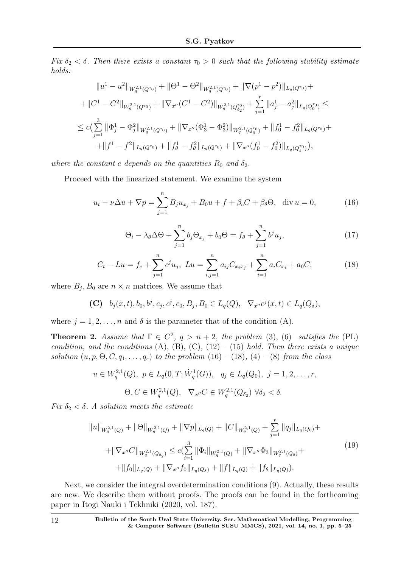Fix  $\delta_2 < \delta$ . Then there exists a constant  $\tau_0 > 0$  such that the following stability estimate holds:

$$
||u^1 - u^2||_{W_q^{2,1}(Q^{\tau_0})} + ||\Theta^1 - \Theta^2||_{W_q^{2,1}(Q^{\tau_0})} + ||\nabla(p^1 - p^2)||_{L_q(Q^{\tau_0})} + ||C^1 - C^2||_{W_q^{2,1}(Q^{\tau_0})} + ||\nabla_{x''}(C^1 - C^2)||_{W_q^{2,1}(Q^{\tau_0}_{\delta_2})} + \sum_{j=1}^r ||a_j^1 - a_j^2||_{L_q(Q^{\tau_0}_{\delta_0})} \le
$$
  

$$
\leq c\left(\sum_{j=1}^3 ||\Phi_j^1 - \Phi_j^2||_{W_q^{2,1}(Q^{\tau_0})} + ||\nabla_{x''}(\Phi_j^1 - \Phi_j^2)||_{W_q^{2,1}(Q^{\tau_0}_{\delta})} + ||f_0^1 - f_0^2||_{L_q(Q^{\tau_0})} + ||f_0^1 - f_0^2||_{L_q(Q^{\tau_0})} \right),
$$

where the constant c depends on the quantities  $R_0$  and  $\delta_2$ .

Proceed with the linearized statement. We examine the system

$$
u_t - \nu \Delta u + \nabla p = \sum_{j=1}^n B_j u_{x_j} + B_0 u + f + \beta_c C + \beta_\theta \Theta, \quad \text{div } u = 0,
$$
 (16)

$$
\Theta_t - \lambda_\theta \Delta \Theta + \sum_{j=1}^n b_j \Theta_{x_j} + b_0 \Theta = f_\theta + \sum_{j=1}^n b^j u_j,
$$
\n(17)

$$
C_t - Lu = f_c + \sum_{j=1}^n c^j u_j, \ Lu = \sum_{i,j=1}^n a_{ij} C_{x_i x_j} + \sum_{i=1}^n a_i C_{x_i} + a_0 C,
$$
 (18)

where  $B_j$ ,  $B_0$  are  $n \times n$  matrices. We assume that

(C)  $b_j(x,t), b_0, b^j, c_j, c^j, c_0, B_j, B_0 \in L_q(Q), \ \nabla_{x''} c^j(x,t) \in L_q(Q_\delta),$ 

where  $j = 1, 2, ..., n$  and  $\delta$  is the parameter that of the condition (A).

**Theorem 2.** Assume that  $\Gamma \in C^2$ ,  $q > n+2$ , the problem (3), (6) satisfies the (PL) condition, and the conditions  $(A)$ ,  $(B)$ ,  $(C)$ ,  $(12) - (15)$  hold. Then there exists a unique solution  $(u, p, \Theta, C, q_1, \ldots, q_r)$  to the problem  $(16) - (18)$ ,  $(4) - (8)$  from the class

$$
u \in W_q^{2,1}(Q), \ p \in L_q(0,T; \dot{W}_q^1(G)), \ q_j \in L_q(Q_0), \ j = 1,2,\ldots,r,
$$
  

$$
\Theta, C \in W_q^{2,1}(Q), \ \nabla_{x''} C \in W_q^{2,1}(Q_{\delta_2}) \ \forall \delta_2 < \delta.
$$

Fix  $\delta_2 < \delta$ . A solution meets the estimate

$$
||u||_{W_{q}^{2,1}(Q)} + ||\Theta||_{W_{q}^{2,1}(Q)} + ||\nabla p||_{L_q(Q)} + ||C||_{W_{q}^{2,1}(Q)} + \sum_{j=1}^r ||q_j||_{L_q(Q_0)} + + ||\nabla_{x''}C||_{W_{q}^{2,1}(Q_{\delta_2})} \leq c(\sum_{i=1}^3 ||\Phi_i||_{W_{q}^{2,1}(Q)} + ||\nabla_{x''}\Phi_3||_{W_{q}^{2,1}(Q_{\delta})} + + ||f_0||_{L_q(Q)} + ||\nabla_{x''}f_0||_{L_q(Q_{\delta})} + ||f||_{L_q(Q)} + ||f_\theta||_{L_q(Q)}).
$$
\n(19)

Next, we consider the integral overdetermination conditions (9). Actually, these results are new. We describe them without proofs. The proofs can be found in the forthcoming paper in Itogi Nauki i Tekhniki (2020, vol. 187).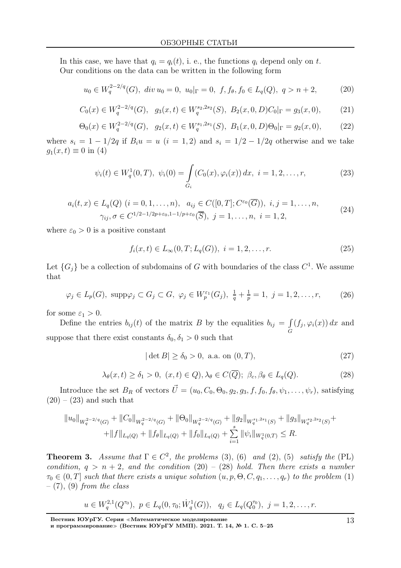In this case, we have that  $q_i = q_i(t)$ , i. e., the functions  $q_i$  depend only on t. Our conditions on the data can be written in the following form

$$
u_0 \in W_q^{2-2/q}(G), \ div u_0 = 0, \ u_0|_{\Gamma} = 0, \ f, f_{\theta}, f_0 \in L_q(Q), \ q > n+2,
$$
 (20)

$$
C_0(x) \in W_q^{2-2/q}(G), \quad g_3(x,t) \in W_q^{s_2,2s_2}(S), \ B_2(x,0,D)C_0|_{\Gamma} = g_3(x,0), \tag{21}
$$

$$
\Theta_0(x) \in W_q^{2-2/q}(G), \quad g_2(x,t) \in W_q^{s_1,2s_1}(S), \ B_1(x,0,D)\Theta_0|_{\Gamma} = g_2(x,0), \tag{22}
$$

where  $s_i = 1 - 1/2q$  if  $B_i u = u$   $(i = 1, 2)$  and  $s_i = 1/2 - 1/2q$  otherwise and we take  $g_1(x, t) \equiv 0$  in (4)

$$
\psi_i(t) \in W_q^1(0,T), \ \psi_i(0) = \int_{G_i} (C_0(x), \varphi_i(x)) \, dx, \ i = 1, 2, \dots, r,
$$
 (23)

$$
a_i(t, x) \in L_q(Q) \ (i = 0, 1, \dots, n), \ \ a_{ij} \in C([0, T]; C^{\varepsilon_0}(\overline{G})), \ i, j = 1, \dots, n, \gamma_{ij}, \sigma \in C^{1/2 - 1/2p + \varepsilon_0, 1 - 1/p + \varepsilon_0}(\overline{S}), \ j = 1, \dots, n, \ i = 1, 2,
$$
\n
$$
(24)
$$

where  $\varepsilon_0 > 0$  is a positive constant

$$
f_i(x,t) \in L_{\infty}(0,T; L_q(G)), \ i = 1,2,\ldots,r.
$$
 (25)

Let  $\{G_j\}$  be a collection of subdomains of G with boundaries of the class  $C^1$ . We assume that

$$
\varphi_j \in L_p(G), \text{ supp}\varphi_j \subset G_j \subset G, \ \varphi_j \in W_p^{\varepsilon_1}(G_j), \ \frac{1}{q} + \frac{1}{p} = 1, \ j = 1, 2, \dots, r,
$$
 (26)

for some  $\varepsilon_1 > 0$ .

Define the entries  $b_{ij}(t)$  of the matrix B by the equalities  $b_{ij} = \int$ G  $(f_j, \varphi_i(x)) dx$  and suppose that there exist constants  $\delta_0, \delta_1 > 0$  such that

$$
|\det B| \ge \delta_0 > 0, \text{ a.a. on } (0, T), \tag{27}
$$

$$
\lambda_{\theta}(x,t) \ge \delta_1 > 0, \ (x,t) \in Q), \lambda_{\theta} \in C(\overline{Q}); \ \beta_c, \beta_{\theta} \in L_q(Q). \tag{28}
$$

Introduce the set  $B_R$  of vectors  $\vec{U} = (u_0, C_0, \Theta_0, g_2, g_3, f, f_0, f_{\theta}, \psi_1, \dots, \psi_r)$ , satisfying  $(20) - (23)$  and such that

$$
||u_0||_{W_q^{2-2/q}(G)} + ||C_0||_{W_q^{2-2/q}(G)} + ||\Theta_0||_{W_q^{2-2/q}(G)} + ||g_2||_{W_q^{s_1,2s_1}(S)} + ||g_3||_{W_q^{s_2,2s_2}(S)} + + ||f||_{L_q(Q)} + ||f_\theta||_{L_q(Q)} + ||f_0||_{L_q(Q)} + \sum_{i=1}^s ||\psi_i||_{W_q^1(0,T)} \le R.
$$

**Theorem 3.** Assume that  $\Gamma \in C^2$ , the problems (3), (6) and (2), (5) satisfy the (PL) condition,  $q > n + 2$ , and the condition  $(20) - (28)$  hold. Then there exists a number  $\tau_0 \in (0, T]$  such that there exists a unique solution  $(u, p, \Theta, C, q_1, \ldots, q_r)$  to the problem (1)  $-$  (7), (9) from the class

$$
u \in W_q^{2,1}(Q^{\tau_0}), \ p \in L_q(0, \tau_0; \dot{W}_q^1(G)), \ q_j \in L_q(Q_0^{\tau_0}), \ j = 1, 2, \ldots, r.
$$

Вестник ЮУрГУ. Серия <sup>≪</sup>Математическое моделирование

и программирование» (Вестник ЮУрГУ ММП). 2021. Т. 14, № 1. С. 5–25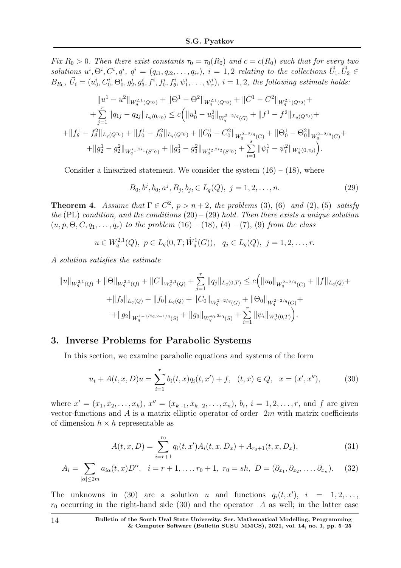Fix  $R_0 > 0$ . Then there exist constants  $\tau_0 = \tau_0(R_0)$  and  $c = c(R_0)$  such that for every two solutions  $u^i, \Theta^i, C^i, q^i, q^i = (q_{i1}, q_{i2}, \ldots, q_{ir}), i = 1, 2$  relating to the collections  $\vec{U}_1, \vec{U}_2 \in$  $B_{R_0}, \ \vec{U}_i = (u_0^i, C_0^i, \Theta_0^i, g_2^i, g_3^i, f^i, f_0^i, f_\theta^i, \psi_1^i, \dots, \psi_r^i), i = 1, 2, \ the \ following \ estimate \ holds:$ 

$$
||u^{1} - u^{2}||_{W_{q}^{2,1}(Q^{\tau_{0}})} + ||\Theta^{1} - \Theta^{2}||_{W_{q}^{2,1}(Q^{\tau_{0}})} + ||C^{1} - C^{2}||_{W_{q}^{2,1}(Q^{\tau_{0}})} +
$$
  
+ 
$$
\sum_{j=1}^{r} ||q_{1j} - q_{2j}||_{L_{q}(0,\tau_{0})} \leq c \Big( ||u_{0}^{1} - u_{0}^{2}||_{W_{q}^{2-2/q}(G)} + ||f^{1} - f^{2}||_{L_{q}(Q^{\tau_{0}})} +
$$
  
+ 
$$
||f_{\theta}^{1} - f_{\theta}^{2}||_{L_{q}(Q^{\tau_{0}})} + ||f_{0}^{1} - f_{0}^{2}||_{L_{q}(Q^{\tau_{0}})} + ||C_{0}^{1} - C_{0}^{2}||_{W_{q}^{2-2/q}(G)} + ||\Theta_{0}^{1} - \Theta_{0}^{2}||_{W_{q}^{2-2/q}(G)} +
$$
  
+ 
$$
||g_{2}^{1} - g_{2}^{2}||_{W_{q}^{s_{1},2s_{1}}(S^{\tau_{0}})} + ||g_{3}^{1} - g_{3}^{2}||_{W_{q}^{s_{2},2s_{2}}(S^{\tau_{0}})} + \sum_{i=1}^{s} ||\psi_{i}^{1} - \psi_{i}^{2}||_{W_{q}^{1}(0,\tau_{0})} \Big).
$$

Consider a linearized statement. We consider the system  $(16) - (18)$ , where

$$
B_0, b^j, b_0, a^j, B_j, b_j, \in L_q(Q), \ j = 1, 2, \dots, n. \tag{29}
$$

**Theorem 4.** Assume that  $\Gamma \in C^2$ ,  $p > n+2$ , the problems (3), (6) and (2), (5) satisfy the (PL) condition, and the conditions  $(20) - (29)$  hold. Then there exists a unique solution  $(u, p, \Theta, C, q_1, \ldots, q_r)$  to the problem  $(16) - (18)$ ,  $(4) - (7)$ ,  $(9)$  from the class

 $u \in W_q^{2,1}(Q), \ p \in L_q(0,T; \dot{W}_q^1(G)), \ q_j \in L_q(Q), \ j = 1,2,\ldots,r.$ 

A solution satisfies the estimate

$$
||u||_{W_q^{2,1}(Q)} + ||\Theta||_{W_q^{2,1}(Q)} + ||C||_{W_q^{2,1}(Q)} + \sum_{j=1}^r ||q_j||_{L_q(0,T)} \le c (||u_0||_{W_q^{2-2/q}(G)} + ||f||_{L_q(Q)} + ||f_0||_{L_q(Q)} + ||f_0||_{L_q(Q)} + ||C_0||_{W_q^{2-2/q}(G)} + ||\Theta_0||_{W_q^{2-2/q}(G)} + ||g_1||_{W_q^{1-1/2q,2-1/q}(S)} + ||g_3||_{W_q^{s_0,2s_0}(S)} + \sum_{i=1}^r ||\psi_i||_{W_q^1(0,T)}.
$$

# 3. Inverse Problems for Parabolic Systems

In this section, we examine parabolic equations and systems of the form

$$
u_t + A(t, x, D)u = \sum_{i=1}^r b_i(t, x)q_i(t, x') + f, \quad (t, x) \in Q, \quad x = (x', x''), \tag{30}
$$

where  $x' = (x_1, x_2, \ldots, x_k)$ ,  $x'' = (x_{k+1}, x_{k+2}, \ldots, x_n)$ ,  $b_i$ ,  $i = 1, 2, \ldots, r$ , and f are given vector-functions and A is a matrix elliptic operator of order  $2m$  with matrix coefficients of dimension  $h \times h$  representable as

$$
A(t, x, D) = \sum_{i=r+1}^{r_0} q_i(t, x') A_i(t, x, D_x) + A_{r_0+1}(t, x, D_x),
$$
\n(31)

$$
A_i = \sum_{|\alpha| \le 2m} a_{i\alpha}(t, x) D^{\alpha}, \quad i = r + 1, \dots, r_0 + 1, \quad r_0 = sh, \ D = (\partial_{x_1}, \partial_{x_2}, \dots, \partial_{x_n}). \tag{32}
$$

The unknowns in (30) are a solution u and functions  $q_i(t, x')$ ,  $i = 1, 2, ...,$  $r_0$  occurring in the right-hand side (30) and the operator A as well; in the latter case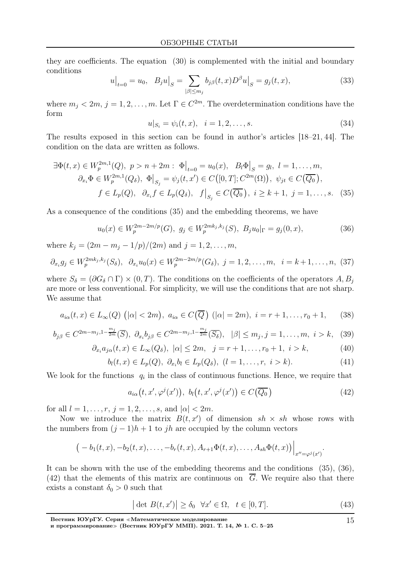they are coefficients. The equation (30) is complemented with the initial and boundary conditions

$$
u|_{t=0} = u_0, \quad B_j u|_S = \sum_{|\beta| \le m_j} b_{j\beta}(t, x) D^{\beta} u|_S = g_j(t, x), \tag{33}
$$

where  $m_j < 2m, j = 1, 2, ..., m$ . Let  $\Gamma \in C^{2m}$ . The overdetermination conditions have the form

$$
u|_{S_i} = \psi_i(t, x), \quad i = 1, 2, \dots, s. \tag{34}
$$

The results exposed in this section can be found in author's articles [18–21, 44]. The condition on the data are written as follows.

$$
\exists \Phi(t, x) \in W_p^{2m,1}(Q), \ p > n + 2m : \ \Phi\big|_{t=0} = u_0(x), \ B_l \Phi\big|_{S} = g_l, \ l = 1, \dots, m,
$$
  

$$
\partial_{x_i} \Phi \in W_p^{2m,1}(Q_\delta), \ \Phi\big|_{S_j} = \psi_j(t, x') \in C([0, T]; C^{2m}(\Omega)), \ \psi_{jt} \in C(\overline{Q_0}),
$$
  

$$
f \in L_p(Q), \ \partial_{x_i} f \in L_p(Q_\delta), \ f\big|_{S_j} \in C(\overline{Q_0}), \ i \geq k + 1, \ j = 1, \dots, s. \tag{35}
$$

As a consequence of the conditions (35) and the embedding theorems, we have

$$
u_0(x) \in W_p^{2m-2m/p}(G), \ g_j \in W_p^{2mk_j, k_j}(S), \ B_j u_0|_{\Gamma} = g_j(0, x), \tag{36}
$$

where  $k_j = (2m - m_j - 1/p)/(2m)$  and  $j = 1, 2, ..., m$ ,

$$
\partial_{x_i} g_j \in W_p^{2mk_j, k_j}(S_\delta), \ \ \partial_{x_i} u_0(x) \in W_p^{2m-2m/p}(G_\delta), \ j = 1, 2, \dots, m, \ \ i = k+1, \dots, n, \ (37)
$$

where  $S_{\delta} = (\partial G_{\delta} \cap \Gamma) \times (0,T)$ . The conditions on the coefficients of the operators  $A, B_i$ are more or less conventional. For simplicity, we will use the conditions that are not sharp. We assume that

$$
a_{i\alpha}(t,x) \in L_{\infty}(Q) \ (\left|\alpha\right| < 2m), \ a_{i\alpha} \in C\left(\overline{Q}\right) \ (\left|\alpha\right| = 2m), \ i = r+1, \dots, r_0+1, \tag{38}
$$

$$
b_{j\beta} \in C^{2m-m_j,1-\frac{m_j}{2m}}(\overline{S}), \ \partial_{x_i} b_{j\beta} \in C^{2m-m_j,1-\frac{m_j}{2m}}(\overline{S_\delta}), \ |\beta| \le m_j, j=1,\dots,m, \ i > k, \ (39)
$$

$$
\partial_{x_i} a_{j\alpha}(t, x) \in L_\infty(Q_\delta), \quad |\alpha| \le 2m, \quad j = r+1, \dots, r_0+1, \quad i > k,\tag{40}
$$

$$
b_l(t, x) \in L_p(Q), \ \partial_{x_i} b_l \in L_p(Q_\delta), \ (l = 1, \dots, r, \ i > k). \tag{41}
$$

We look for the functions  $q_i$  in the class of continuous functions. Hence, we require that

$$
a_{i\alpha}(t, x', \varphi^j(x')), \ b_l(t, x', \varphi^j(x')) \in C(\overline{Q_0})
$$
\n
$$
(42)
$$

for all  $l = 1, ..., r, j = 1, 2, ..., s$ , and  $|\alpha| < 2m$ .

Now we introduce the matrix  $B(t, x')$  of dimension  $sh \times sh$  whose rows with the numbers from  $(j-1)h+1$  to jh are occupied by the column vectors

$$
(-b_1(t,x),-b_2(t,x),\ldots,-b_r(t,x),A_{r+1}\Phi(t,x),\ldots,A_{sh}\Phi(t,x))\Big|_{x''=\varphi^j(x')}.
$$

It can be shown with the use of the embedding theorems and the conditions (35), (36), (42) that the elements of this matrix are continuous on  $\overline{G}$ . We require also that there exists a constant  $\delta_0 > 0$  such that

$$
|\det B(t, x')| \ge \delta_0 \quad \forall x' \in \Omega, \quad t \in [0, T]. \tag{43}
$$

15

Вестник ЮУрГУ. Серия <sup>≪</sup>Математическое моделирование

и программирование» (Вестник ЮУрГУ ММП). 2021. Т. 14, № 1. С. 5–25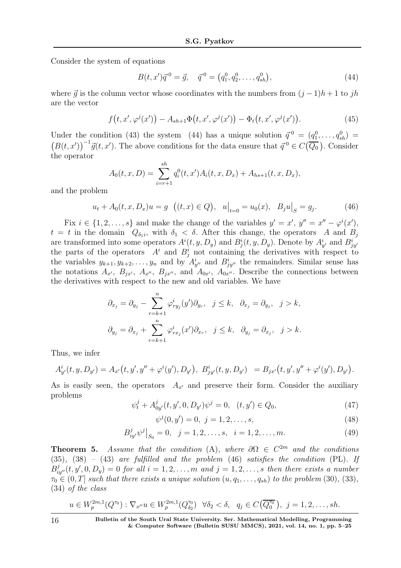Consider the system of equations

$$
B(t, x')\vec{q}^{0} = \vec{g}, \quad \vec{q}^{0} = (q_1^{0}, q_2^{0}, \dots, q_{sh}^{0}), \tag{44}
$$

where  $\vec{q}$  is the column vector whose coordinates with the numbers from  $(j - 1)h + 1$  to jh are the vector

$$
f(t, x', \varphi^{j}(x')) - A_{sh+1}\Phi(t, x', \varphi^{j}(x')) - \Phi_t(t, x', \varphi^{j}(x')). \qquad (45)
$$

Under the condition (43) the system (44) has a unique solution  $\vec{q}^0 = (q_1^0, \ldots, q_{sh}^0)$  $(B(t, x'))^{-1}\vec{g}(t, x')$ . The above conditions for the data ensure that  $\vec{q}^0 \in C(\overline{Q_0})$ . Consider the operator

$$
A_0(t, x, D) = \sum_{i=r+1}^{sh} q_i^0(t, x') A_i(t, x, D_x) + A_{hs+1}(t, x, D_x),
$$

and the problem

$$
u_t + A_0(t, x, D_x)u = g \left( (t, x) \in Q \right), \quad u\big|_{t=0} = u_0(x), \quad B_j u\big|_S = g_j. \tag{46}
$$

Fix  $i \in \{1, 2, \ldots, s\}$  and make the change of the variables  $y' = x'$ ,  $y'' = x'' - \varphi^{i}(x')$ ,  $t = t$  in the domain  $Q_{\delta_1 i}$ , with  $\delta_1 < \delta$ . After this change, the operators A and  $B_j$ are transformed into some operators  $A^{i}(t, y, D_y)$  and  $B^{i}_{j}(t, y, D_y)$ . Denote by  $A^{i}_{y'}$  and  $B^{i}_{jy'}$ the parts of the operators  $A^i$  and  $B^i_j$  not containing the derivatives with respect to the variables  $y_{k+1}, y_{k+2}, \ldots, y_n$  and by  $A_{y''}^i$  and  $B_{jy''}^i$  the remainders. Similar sense has the notations  $A_{x'}$ ,  $B_{jx'}$ ,  $A_{x''}$ ,  $B_{jx''}$ , and  $A_{0x'}$ ,  $A_{0x''}$ . Describe the connections between the derivatives with respect to the new and old variables. We have

$$
\partial_{x_j} = \partial_{y_j} - \sum_{r=k+1}^n \varphi_{ry_j}^i(y')\partial_{y_r}, \quad j \le k, \quad \partial_{x_j} = \partial_{y_j}, \quad j > k,
$$
  

$$
\partial_{y_j} = \partial_{x_j} + \sum_{r=k+1}^n \varphi_{rx_j}^i(x')\partial_{x_r}, \quad j \le k, \quad \partial_{y_j} = \partial_{x_j}, \quad j > k.
$$

Thus, we infer

$$
A_{y'}^{i}(t, y, D_{y'}) = A_{x'}(t, y', y'' + \varphi^{i}(y'), D_{y'}), B_{jy'}^{i}(t, y, D_{y'}) = B_{jx'}(t, y', y'' + \varphi^{i}(y'), D_{y'}).
$$

As is easily seen, the operators  $A_{x'}$  and preserve their form. Consider the auxiliary problems

$$
\psi_t^j + A_{0y'}^j(t, y', 0, D_{y'})\psi^j = 0, \quad (t, y') \in Q_0,\tag{47}
$$

$$
\psi^j(0, y') = 0, \ j = 1, 2, \dots, s,\tag{48}
$$

$$
B_{iy}^{j} \psi^{j} \big|_{S_0} = 0, \quad j = 1, 2, \dots, s, \quad i = 1, 2, \dots, m. \tag{49}
$$

**Theorem 5.** Assume that the condition (A), where  $\partial \Omega \in C^{2m}$  and the conditions  $(35)$ ,  $(38)$  –  $(43)$  are fulfilled and the problem  $(46)$  satisfies the condition  $(PL)$ . If  $B_{iy''}^j(t, y', 0, D_y) = 0$  for all  $i = 1, 2, \ldots, m$  and  $j = 1, 2, \ldots, s$  then there exists a number  $\tau_0 \in (0, T]$  such that there exists a unique solution  $(u, q_1, \ldots, q_{sh})$  to the problem (30), (33), (34) of the class

$$
u \in W_p^{2m,1}(Q^{\tau_0}) : \nabla_{x''} u \in W_p^{2m,1}(Q^{\tau_0}_{\delta_2}) \quad \forall \delta_2 < \delta, \quad q_j \in C(\overline{Q^{\tau_0}_0}), \quad j = 1, 2, \dots, sh.
$$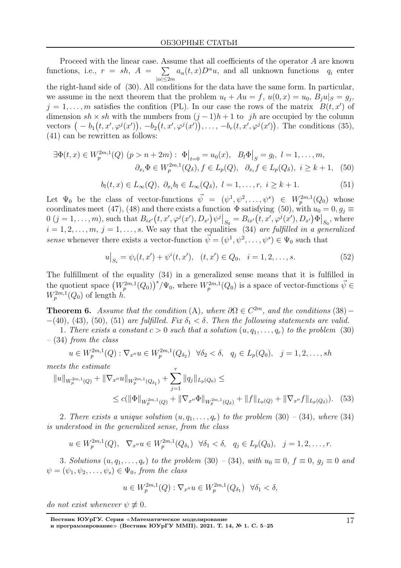Proceed with the linear case. Assume that all coefficients of the operator A are known functions, i.e.,  $r = sh$ ,  $A = \sum$  $|\alpha|\leq 2m$  $a_{\alpha}(t, x)D^{\alpha}u$ , and all unknown functions  $q_i$  enter the right-hand side of (30). All conditions for the data have the same form. In particular, we assume in the next theorem that the problem  $u_t + Au = f$ ,  $u(0, x) = u_0$ ,  $B_j u|_S = g_j$ ,  $j = 1, \ldots, m$  satisfies the confition (PL). In our case the rows of the matrix  $B(t, x')$  of dimension sh × sh with the numbers from  $(j-1)h+1$  to jh are occupied by the column vectors  $(-b_1(t, x', \varphi^j(x')), -b_2(t, x', \varphi^j(x')), \ldots, -b_r(t, x', \varphi^j(x'))$ . The conditions (35), (41) can be rewritten as follows:

$$
\exists \Phi(t, x) \in W_p^{2m,1}(Q) \ (p > n + 2m) : \ \Phi\big|_{t=0} = u_0(x), \ B_l \Phi\big|_S = g_l, \ l = 1, \dots, m,
$$
\n
$$
\partial_{x_i} \Phi \in W_p^{2m,1}(Q_\delta), \ f \in L_p(Q), \ \ \partial_{x_i} f \in L_p(Q_\delta), \ i \geq k + 1, \tag{50}
$$

$$
b_l(t,x) \in L_{\infty}(Q), \ \partial_{x_i} b_l \in L_{\infty}(Q_{\delta}), \ l = 1, \ldots, r, \ i \geq k+1. \tag{51}
$$

Let  $\Psi_0$  be the class of vector-functions  $\vec{\psi} = (\psi^1, \psi^2, \dots, \psi^s) \in W_p^{2m,1}(Q_0)$  whose coordinates meet (47), (48) and there exists a function  $\Phi$  satisfying (50), with  $u_0 = 0, g_j \equiv$  $0 (j = 1, ..., m)$ , such that  $B_{ix'}(t, x', \varphi^{j}(x'), D_{x'})\psi^{j}|_{S_{0}} = B_{ix'}(t, x', \varphi^{j}(x'), D_{x'})\Phi|_{S_{0}}$ , where  $i = 1, 2, \ldots, m, j = 1, \ldots, s$ . We say that the equalities (34) are fulfilled in a generalized sense whenever there exists a vector-function  $\vec{\psi} = (\psi^1, \psi^2, \dots, \psi^s) \in \Psi_0$  such that

$$
u\big|_{S_i} = \psi_i(t, x') + \psi^i(t, x'), \quad (t, x') \in Q_0, \quad i = 1, 2, \dots, s. \tag{52}
$$

The fulfillment of the equality (34) in a generalized sense means that it is fulfilled in the quotient space  $(W_p^{2m,1}(Q_0))^{s}/\Psi_0$ , where  $W_p^{2m,1}(Q_0)$  is a space of vector-functions  $\vec{\psi} \in$  $W_p^{2m,1}(Q_0)$  of length h.

**Theorem 6.** Assume that the condition (A), where  $\partial\Omega \in C^{2m}$ , and the conditions (38) –  $-(40)$ , (43), (50), (51) are fulfilled. Fix  $\delta_1 < \delta$ . Then the following statements are valid.

1. There exists a constant  $c > 0$  such that a solution  $(u, q_1, \ldots, q_r)$  to the problem (30) – (34) from the class

$$
u \in W_p^{2m,1}(Q) : \nabla_{x''} u \in W_p^{2m,1}(Q_{\delta_2}) \quad \forall \delta_2 < \delta, \quad q_j \in L_p(Q_0), \quad j = 1, 2, \dots, sh
$$

meets the estimate

$$
||u||_{W_p^{2m,1}(Q)} + ||\nabla_{x''} u||_{W_p^{2m,1}(Q_{\delta_1})} + \sum_{j=1}^r ||q_j||_{L_p(Q_0)} \le
$$
  
 
$$
\leq c(||\Phi||_{W_p^{2m,1}(Q)} + ||\nabla_{x''}\Phi||_{W_p^{2m,1}(Q_{\delta})} + ||f||_{L_p(Q)} + ||\nabla_{x''} f||_{L_p(Q_{\delta})}). \tag{53}
$$

2. There exists a unique solution  $(u, q_1, \ldots, q_r)$  to the problem (30) – (34), where (34) is understood in the generalized sense, from the class

$$
u \in W_p^{2m,1}(Q), \quad \nabla_{x''} u \in W_p^{2m,1}(Q_{\delta_1}) \quad \forall \delta_1 < \delta, \quad q_j \in L_p(Q_0), \quad j = 1, 2, \ldots, r.
$$

3. Solutions  $(u, q_1, \ldots, q_r)$  to the problem (30) – (34), with  $u_0 \equiv 0$ ,  $f \equiv 0$ ,  $g_i \equiv 0$  and  $\psi = (\psi_1, \psi_2, \dots, \psi_s) \in \Psi_0$ , from the class

$$
u \in W_p^{2m,1}(Q) : \nabla_{x''} u \in W_p^{2m,1}(Q_{\delta_1}) \quad \forall \delta_1 < \delta,
$$

do not exist whenever  $\psi \not\equiv 0$ .

Вестник ЮУрГУ. Серия <sup>≪</sup>Математическое моделирование и программирование» (Вестник ЮУрГУ ММП). 2021. Т. 14, № 1. С. 5-25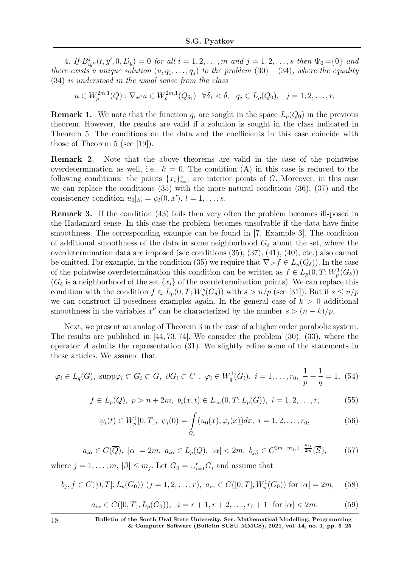4. If  $B_{iy''}^j(t, y', 0, D_y) = 0$  for all  $i = 1, 2, ..., m$  and  $j = 1, 2, ..., s$  then  $\Psi_0 = \{0\}$  and there exists a unique solution  $(u, q_1, \ldots, q_s)$  to the problem (30) – (34), where the equality (34) is understood in the usual sense from the class

 $u \in W_p^{2m,1}(Q) : \nabla_{x''} u \in W_p^{2m,1}(Q_{\delta_1}) \quad \forall \delta_1 < \delta, \quad q_j \in L_p(Q_0), \quad j = 1, 2, \dots, r.$ 

**Remark 1.** We note that the function  $q_i$  are sought in the space  $L_p(Q_0)$  in the previous theorem. However, the results are valid if a solution is sought in the class indicated in Theorem 5. The conditions on the data and the coefficients in this case coincide with those of Theorem 5 (see [19]).

Remark 2. Note that the above theorems are valid in the case of the pointwise overdetermination as well, i.e.,  $k = 0$ . The condition (A) in this case is reduced to the following conditions: the points  ${x_i}_{i=1}^s$  are interior points of G. Moreover, in this case we can replace the conditions (35) with the more natural conditions (36), (37) and the consistency condition  $u_0|_{S_l} = \psi_l(0, x'), l = 1, \ldots, s.$ 

Remark 3. If the condition (43) fails then very often the problem becomes ill-posed in the Hadamard sense. In this case the problem becomes unsolvable if the data have finite smoothness. The corresponding example can be found in [7, Example 3]. The condition of additional smoothness of the data in some neighborhood  $G_{\delta}$  about the set, where the overdetermination data are imposed (see conditions (35), (37), (41), (40), etc.) also cannot be omitted. For example, in the condition (35) we require that  $\nabla_{x''} f \in L_p(Q_\delta)$ ). In the case of the pointwise overdetermination this condition can be written as  $f \in L_p(0,T;W^1_p(G_\delta))$  $(G_{\delta})$  is a neighborhood of the set  $\{x_i\}$  of the overdetermination points). We can replace this condition with the condition  $f \in L_p(0,T;W_p^s(G_\delta))$  with  $s > n/p$  (see [31]). But if  $s \leq n/p$ we can construct ill-posedness examples again. In the general case of  $k > 0$  additional smoothness in the variables  $x''$  can be characterized by the number  $s > (n - k)/p$ .

Next, we present an analog of Theorem 3 in the case of a higher order parabolic system. The results are published in  $[44, 73, 74]$ . We consider the problem  $(30)$ ,  $(33)$ , where the operator A admits the representation (31). We slightly refine some of the statements in these articles. We assume that

$$
\varphi_i \in L_q(G)
$$
,  $\text{supp}\varphi_i \subset G_i \subset G$ ,  $\partial G_i \subset C^1$ ,  $\varphi_i \in W_q^1(G_i)$ ,  $i = 1, ..., r_0$ ,  $\frac{1}{p} + \frac{1}{q} = 1$ , (54)

$$
f \in L_p(Q), \ p > n + 2m, \ b_i(x, t) \in L_\infty(0, T; L_p(G)), \ i = 1, 2, \dots, r,
$$
 (55)

$$
\psi_i(t) \in W_p^1[0, T], \ \psi_i(0) = \int_{G_i} (u_0(x), \varphi_i(x)) dx, \ i = 1, 2, \dots, r_0,
$$
\n(56)

$$
a_{i\alpha} \in C(\overline{Q}), |\alpha| = 2m, a_{i\alpha} \in L_p(Q), |\alpha| < 2m, b_{j\beta} \in C^{2m-m_j, 1-\frac{m_j}{2m}}(\overline{S}),
$$
 (57)

where  $j = 1, ..., m, |\beta| \le m_j$ . Let  $G_0 = \bigcup_{i=1}^r G_i$  and assume that

$$
b_j, f \in C([0, T]; L_p(G_0)) \ (j = 1, 2, \dots, r), \ a_{i\alpha} \in C([0, T], W^1_p(G_0)) \text{ for } |\alpha| = 2m, \tag{58}
$$

$$
a_{i\alpha} \in C([0, T], L_p(G_0)), \quad i = r + 1, r + 2, \dots, r_0 + 1 \quad \text{for } |\alpha| < 2m. \tag{59}
$$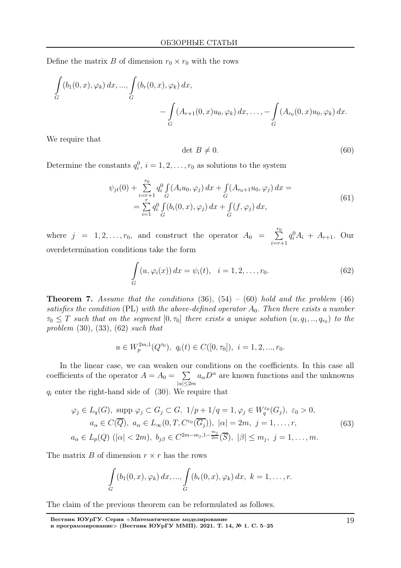Define the matrix B of dimension  $r_0 \times r_0$  with the rows

$$
\int_{G} (b_1(0, x), \varphi_k) dx, ..., \int_{G} (b_r(0, x), \varphi_k) dx,\n- \int_{G} (A_{r+1}(0, x)u_0, \varphi_k) dx, ..., - \int_{G} (A_{r_0}(0, x)u_0, \varphi_k) dx.
$$

We require that

$$
\det B \neq 0. \tag{60}
$$

Determine the constants  $q_i^0$ ,  $i = 1, 2, \ldots, r_0$  as solutions to the system

$$
\psi_{jt}(0) + \sum_{i=r+1}^{r_0} q_i^0 \int_G (A_i u_0, \varphi_j) dx + \int_G (A_{r_0+1} u_0, \varphi_j) dx =
$$
\n
$$
= \sum_{i=1}^r q_i^0 \int_G (b_i(0, x), \varphi_j) dx + \int_G (f, \varphi_j) dx,
$$
\n(61)

where  $j = 1, 2, ..., r_0$ , and construct the operator  $A_0 = \sum^{r_0}$  $i=r+1$  $q_i^0 A_i + A_{r+1}$ . Our overdetermination conditions take the form

$$
\int_{G} (u, \varphi_i(x)) dx = \psi_i(t), \quad i = 1, 2, \dots, r_0.
$$
\n(62)

**Theorem 7.** Assume that the conditions  $(36)$ ,  $(54) - (60)$  hold and the problem  $(46)$ satisfies the condition (PL) with the above-defined operator  $A_0$ . Then there exists a number  $\tau_0 \leq T$  such that on the segment  $[0, \tau_0]$  there exists a unique solution  $(u, q_1, ..., q_{r_0})$  to the problem  $(30), (33), (62)$  such that

$$
u \in W_p^{2m,1}(Q^{\tau_0}), \ q_i(t) \in C([0,\tau_0]), \ i = 1,2,...,r_0.
$$

In the linear case, we can weaken our conditions on the coefficients. In this case all coefficients of the operator  $A = A_0 = \sum$  $|\alpha|\leq 2m$  $a_{\alpha}D^{\alpha}$  are known functions and the unknowns  $q_i$  enter the right-hand side of  $(30)$ . We require that

$$
\varphi_j \in L_q(G), \text{ supp } \varphi_j \subset G_j \subset G, \ 1/p + 1/q = 1, \varphi_j \in W_q^{\varepsilon_0}(G_j), \ \varepsilon_0 > 0, \\
a_\alpha \in C(\overline{Q}), \ a_\alpha \in L_\infty(0, T, C^{\varepsilon_0}(\overline{G_j})), \ |\alpha| = 2m, \ j = 1, \dots, r,
$$
\n
$$
a_\alpha \in L_p(Q) \ (|\alpha| < 2m), \ b_{j\beta} \in C^{2m - m_j, 1 - \frac{m_j}{2m}}(\overline{S}), \ |\beta| \le m_j, \ j = 1, \dots, m.
$$
\n
$$
(63)
$$

The matrix B of dimension  $r \times r$  has the rows

$$
\int_{G} (b_1(0, x), \varphi_k) dx, ..., \int_{G} (b_r(0, x), \varphi_k) dx, \ k = 1, ..., r.
$$

The claim of the previous theorem can be reformulated as follows.

Вестник ЮУрГУ. Серия <sup>≪</sup>Математическое моделирование и программирование<sup>≫</sup> (Вестник ЮУрГУ ММП). 2021. Т. 14, № 1. С. 5–25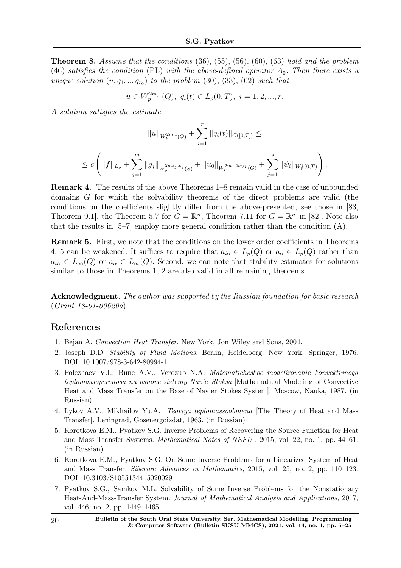**Theorem 8.** Assume that the conditions  $(36)$ ,  $(55)$ ,  $(56)$ ,  $(60)$ ,  $(63)$  hold and the problem (46) satisfies the condition (PL) with the above-defined operator  $A_0$ . Then there exists a unique solution  $(u, q_1, \ldots, q_{r_0})$  to the problem  $(30), (33), (62)$  such that

$$
u \in W_p^{2m,1}(Q), \ q_i(t) \in L_p(0,T), \ i = 1, 2, ..., r.
$$

A solution satisfies the estimate

$$
||u||_{W_p^{2m,1}(Q)} + \sum_{i=1}^r ||q_i(t)||_{C([0,T])} \le
$$
  

$$
\leq c \left( ||f||_{L_p} + \sum_{j=1}^m ||g_j||_{W_p^{2mk_j,k_j}(S)} + ||u_0||_{W_p^{2m-2m/p}(G)} + \sum_{j=1}^s ||\psi_i||_{W_p^1(0,T)} \right)
$$

.

Remark 4. The results of the above Theorems 1–8 remain valid in the case of unbounded domains G for which the solvability theorems of the direct problems are valid (the conditions on the coefficients slightly differ from the above-presented, see those in [83, Theorem 9.1, the Theorem 5.7 for  $G = \mathbb{R}^n$ , Theorem 7.11 for  $G = \mathbb{R}^n_+$  in [82]. Note also that the results in  $[5-7]$  employ more general condition rather than the condition  $(A)$ .

Remark 5. First, we note that the conditions on the lower order coefficients in Theorems 4, 5 can be weakened. It suffices to require that  $a_{i\alpha} \in L_p(Q)$  or  $a_{\alpha} \in L_p(Q)$  rather than  $a_{i\alpha} \in L_{\infty}(Q)$  or  $a_{\alpha} \in L_{\infty}(Q)$ . Second, we can note that stability estimates for solutions similar to those in Theorems 1, 2 are also valid in all remaining theorems.

Acknowledgment. The author was supported by the Russian foundation for basic research (Grant 18-01-00620a).

# References

- 1. Bejan A. Convection Heat Transfer. New York, Jon Wiley and Sons, 2004.
- 2. Joseph D.D. Stability of Fluid Motions. Berlin, Heidelberg, New York, Springer, 1976. DOI: 10.1007/978-3-642-80994-1
- 3. Polezhaev V.I., Bune A.V., Verozub N.A. Matematicheskoe modelirovanie konvektivnogo teplomassoperenosa na osnove sistemy Nav'e–Stoksa [Mathematical Modeling of Convective Heat and Mass Transfer on the Base of Navier–Stokes System]. Moscow, Nauka, 1987. (in Russian)
- 4. Lykov A.V., Mikhailov Yu.A. Teoriya teplomassoobmena [The Theory of Heat and Mass Transfer]. Leningrad, Gosenergoizdat, 1963. (in Russian)
- 5. Korotkova E.M., Pyatkov S.G. Inverse Problems of Recovering the Source Function for Heat and Mass Transfer Systems. Mathematical Notes of NEFU , 2015, vol. 22, no. 1, pp. 44–61. (in Russian)
- 6. Korotkova E.M., Pyatkov S.G. On Some Inverse Problems for a Linearized System of Heat and Mass Transfer. Siberian Advances in Mathematics, 2015, vol. 25, no. 2, pp. 110–123. DOI: 10.3103/S1055134415020029
- 7. Pyatkov S.G., Samkov M.L. Solvability of Some Inverse Problems for the Nonstationary Heat-And-Mass-Transfer System. Journal of Mathematical Analysis and Applications, 2017, vol. 446, no. 2, pp. 1449–1465.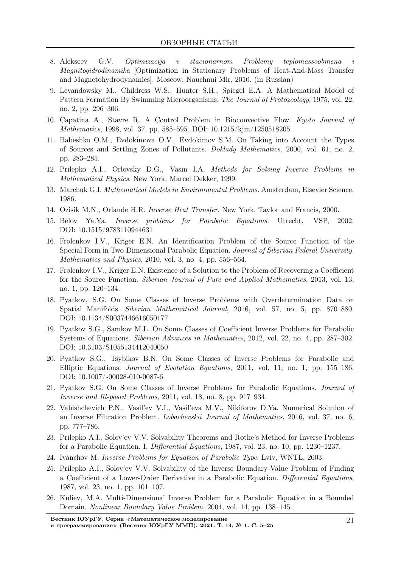- 8. Alekseev G.V. Optimizacija v stacionarnom Problemy teplomassoobmena i Magnitogidrodinamika [Optimization in Stationary Problems of Heat-And-Mass Transfer and Magnetohydrodynamics]. Moscow, Nauchnui Mir, 2010. (in Russian)
- 9. Levandowsky M., Childress W.S., Hunter S.H., Spiegel E.A. A Mathematical Model of Pattern Formation By Swimming Microorganisms. The Journal of Protozoology, 1975, vol. 22, no. 2, pp. 296–306.
- 10. Capatina A., Stavre R. A Control Problem in Bioconvective Flow. Kyoto Journal of Mathematics, 1998, vol. 37, pp. 585–595. DOI: 10.1215/kjm/1250518205
- 11. Babeshko O.M., Evdokimova O.V., Evdokimov S.M. On Taking into Account the Types of Sources and Settling Zones of Pollutants. Doklady Mathematics, 2000, vol. 61, no. 2, pp. 283–285.
- 12. Prilepko A.I., Orlovsky D.G., Vasin I.A. Methods for Solving Inverse Problems in Mathematical Physics. New York, Marcel Dekker, 1999.
- 13. Marchuk G.I. Mathematical Models in Environmental Problems. Amsterdam, Elsevier Science, 1986.
- 14. Ozisik M.N., Orlande H.R. Inverse Heat Transfer. New York, Taylor and Francis, 2000.
- 15. Belov Ya.Ya. Inverse problems for Parabolic Equations. Utrecht, VSP, 2002. DOI: 10.1515/9783110944631
- 16. Frolenkov I.V., Kriger E.N. An Identification Problem of the Source Function of the Special Form in Two-Dimensional Parabolic Equation. Journal of Siberian Federal University. Mathematics and Physics, 2010, vol. 3, no. 4, pp. 556–564.
- 17. Frolenkov I.V., Kriger E.N. Existence of a Solution to the Problem of Recovering a Coefficient for the Source Function. Siberian Journal of Pure and Applied Mathematics, 2013, vol. 13, no. 1, pp. 120–134.
- 18. Pyatkov, S.G. On Some Classes of Inverse Problems with Overdetermination Data on Spatial Manifolds. Siberian Mathematical Journal, 2016, vol. 57, no. 5, pp. 870–880. DOI: 10.1134/S0037446616050177
- 19. Pyatkov S.G., Samkov M.L. On Some Classes of Coefficient Inverse Problems for Parabolic Systems of Equations. Siberian Advances in Mathematics, 2012, vol. 22, no. 4, pp. 287–302. DOI: 10.3103/S1055134412040050
- 20. Pyatkov S.G., Tsybikov B.N. On Some Classes of Inverse Problems for Parabolic and Elliptic Equations. Journal of Evolution Equations, 2011, vol. 11, no. 1, pp. 155–186. DOI: 10.1007/s00028-010-0087-6
- 21. Pyatkov S.G. On Some Classes of Inverse Problems for Parabolic Equations. Journal of Inverse and Ill-posed Problems, 2011, vol. 18, no. 8, pp. 917–934.
- 22. Vabishchevich P.N., Vasil'ev V.I., Vasil'eva M.V., Nikiforov D.Ya. Numerical Solution of an Inverse Filtration Problem. Lobachevskii Journal of Mathematics, 2016, vol. 37, no. 6, pp. 777–786.
- 23. Prilepko A.I., Solov'ev V.V. Solvability Theorems and Rothe's Method for Inverse Problems for a Parabolic Equation. I. Differential Equations, 1987, vol. 23, no. 10, pp. 1230–1237.
- 24. Ivanchov M. Inverse Problems for Equation of Parabolic Type. Lviv, WNTL, 2003.
- 25. Prilepko A.I., Solov'ev V.V. Solvability of the Inverse Boundary-Value Problem of Finding a Coefficient of a Lower-Order Derivative in a Parabolic Equation. Differential Equations, 1987, vol. 23, no. 1, pp. 101–107.
- 26. Kuliev, M.A. Multi-Dimensional Inverse Problem for a Parabolic Equation in a Bounded Domain. Nonlinear Boundary Value Problem, 2004, vol. 14, pp. 138–145.

Вестник ЮУрГУ. Серия <sup>≪</sup>Математическое моделирование и программирование» (Вестник ЮУрГУ ММП). 2021. Т. 14, № 1. С. 5–25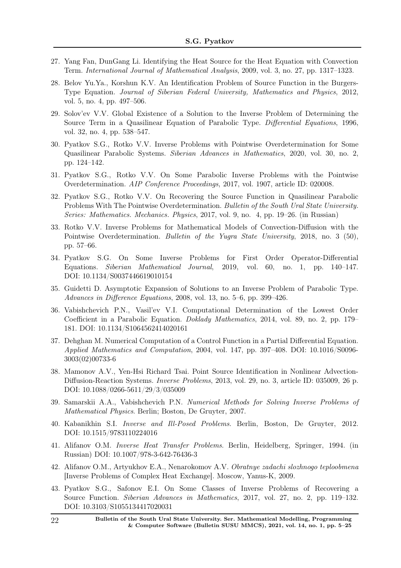- 27. Yang Fan, DunGang Li. Identifying the Heat Source for the Heat Equation with Convection Term. International Journal of Mathematical Analysis, 2009, vol. 3, no. 27, pp. 1317–1323.
- 28. Belov Yu.Ya., Korshun K.V. An Identification Problem of Source Function in the Burgers-Type Equation. Journal of Siberian Federal University, Mathematics and Physics, 2012, vol. 5, no. 4, pp. 497–506.
- 29. Solov'ev V.V. Global Existence of a Solution to the Inverse Problem of Determining the Source Term in a Quasilinear Equation of Parabolic Type. Differential Equations, 1996, vol. 32, no. 4, pp. 538–547.
- 30. Pyatkov S.G., Rotko V.V. Inverse Problems with Pointwise Overdetermination for Some Quasilinear Parabolic Systems. Siberian Advances in Mathematics, 2020, vol. 30, no. 2, pp. 124–142.
- 31. Pyatkov S.G., Rotko V.V. On Some Parabolic Inverse Problems with the Pointwise Overdetermination. AIP Conference Proceedings, 2017, vol. 1907, article ID: 020008.
- 32. Pyatkov S.G., Rotko V.V. On Recovering the Source Function in Quasilinear Parabolic Problems With The Pointwise Overdetermination. Bulletin of the South Ural State University. Series: Mathematics. Mechanics. Physics, 2017, vol. 9, no. 4, pp. 19–26. (in Russian)
- 33. Rotko V.V. Inverse Problems for Mathematical Models of Convection-Diffusion with the Pointwise Overdetermination. Bulletin of the Yugra State University, 2018, no. 3 (50), pp. 57–66.
- 34. Pyatkov S.G. On Some Inverse Problems for First Order Operator-Differential Equations. Siberian Mathematical Journal, 2019, vol. 60, no. 1, pp. 140–147. DOI: 10.1134/S0037446619010154
- 35. Guidetti D. Asymptotic Expansion of Solutions to an Inverse Problem of Parabolic Type. Advances in Difference Equations, 2008, vol. 13, no. 5–6, pp. 399–426.
- 36. Vabishchevich P.N., Vasil'ev V.I. Computational Determination of the Lowest Order Coefficient in a Parabolic Equation. Doklady Mathematics, 2014, vol. 89, no. 2, pp. 179– 181. DOI: 10.1134/S1064562414020161
- 37. Dehghan M. Numerical Computation of a Control Function in a Partial Differential Equation. Applied Mathematics and Computation, 2004, vol. 147, pp. 397–408. DOI: 10.1016/S0096- 3003(02)00733-6
- 38. Mamonov A.V., Yen-Hsi Richard Tsai. Point Source Identification in Nonlinear Advection-Diffusion-Reaction Systems. Inverse Problems, 2013, vol. 29, no. 3, article ID: 035009, 26 p. DOI: 10.1088/0266-5611/29/3/035009
- 39. Samarskii A.A., Vabishchevich P.N. Numerical Methods for Solving Inverse Problems of Mathematical Physics. Berlin; Boston, De Gruyter, 2007.
- 40. Kabanikhin S.I. Inverse and Ill-Posed Problems. Berlin, Boston, De Gruyter, 2012. DOI: 10.1515/9783110224016
- 41. Alifanov O.M. Inverse Heat Transfer Problems. Berlin, Heidelberg, Springer, 1994. (in Russian) DOI: 10.1007/978-3-642-76436-3
- 42. Alifanov O.M., Artyukhov E.A., Nenarokomov A.V. Obratnye zadachi slozhnogo teploobmena [Inverse Problems of Complex Heat Exchange]. Moscow, Yanus-K, 2009.
- 43. Pyatkov S.G., Safonov E.I. On Some Classes of Inverse Problems of Recovering a Source Function. Siberian Advances in Mathematics, 2017, vol. 27, no. 2, pp. 119–132. DOI: 10.3103/S1055134417020031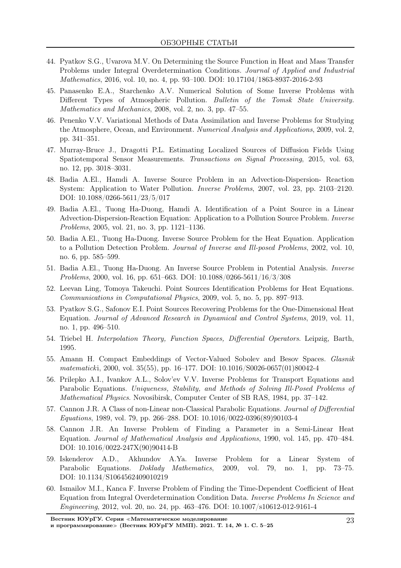- 44. Pyatkov S.G., Uvarova M.V. On Determining the Source Function in Heat and Mass Transfer Problems under Integral Overdetermination Conditions. Journal of Applied and Industrial Mathematics, 2016, vol. 10, no. 4, pp. 93–100. DOI: 10.17104/1863-8937-2016-2-93
- 45. Panasenko E.A., Starchenko A.V. Numerical Solution of Some Inverse Problems with Different Types of Atmospheric Pollution. Bulletin of the Tomsk State University. Mathematics and Mechanics, 2008, vol. 2, no. 3, pp. 47–55.
- 46. Penenko V.V. Variational Methods of Data Assimilation and Inverse Problems for Studying the Atmosphere, Ocean, and Environment. Numerical Analysis and Applications, 2009, vol. 2, pp. 341–351.
- 47. Murray-Bruce J., Dragotti P.L. Estimating Localized Sources of Diffusion Fields Using Spatiotemporal Sensor Measurements. Transactions on Signal Processing, 2015, vol. 63, no. 12, pp. 3018–3031.
- 48. Badia A.El., Hamdi A. Inverse Source Problem in an Advection-Dispersion- Reaction System: Application to Water Pollution. Inverse Problems, 2007, vol. 23, pp. 2103–2120. DOI: 10.1088/0266-5611/23/5/017
- 49. Badia A.El., Tuong Ha-Duong, Hamdi A. Identification of a Point Source in a Linear Advection-Dispersion-Reaction Equation: Application to a Pollution Source Problem. Inverse Problems, 2005, vol. 21, no. 3, pp. 1121–1136.
- 50. Badia A.El., Tuong Ha-Duong. Inverse Source Problem for the Heat Equation. Application to a Pollution Detection Problem. Journal of Inverse and Ill-posed Problems, 2002, vol. 10, no. 6, pp. 585–599.
- 51. Badia A.El., Tuong Ha-Duong. An Inverse Source Problem in Potential Analysis. Inverse *Problems*, 2000, vol. 16, pp. 651–663. DOI: 10.1088/0266-5611/16/3/308
- 52. Leevan Ling, Tomoya Takeuchi. Point Sources Identification Problems for Heat Equations. Communications in Computational Physics, 2009, vol. 5, no. 5, pp. 897–913.
- 53. Pyatkov S.G., Safonov E.I. Point Sources Recovering Problems for the One-Dimensional Heat Equation. Journal of Advanced Research in Dynamical and Control Systems, 2019, vol. 11, no. 1, pp. 496–510.
- 54. Triebel H. Interpolation Theory, Function Spaces, Differential Operators. Leipzig, Barth, 1995.
- 55. Amann H. Compact Embeddings of Vector-Valued Sobolev and Besov Spaces. Glasnik matematicki, 2000, vol. 35(55), pp. 16–177. DOI: 10.1016/S0026-0657(01)80042-4
- 56. Prilepko A.I., Ivankov A.L., Solov'ev V.V. Inverse Problems for Transport Equations and Parabolic Equations. Uniqueness, Stability, and Methods of Solving Ill-Posed Problems of Mathematical Physics. Novosibirsk, Computer Center of SB RAS, 1984, pp. 37–142.
- 57. Cannon J.R. A Class of non-Linear non-Classical Parabolic Equations. Journal of Differential Equations, 1989, vol. 79, pp. 266–288. DOI: 10.1016/0022-0396(89)90103-4
- 58. Cannon J.R. An Inverse Problem of Finding a Parameter in a Semi-Linear Heat Equation. Journal of Mathematical Analysis and Applications, 1990, vol. 145, pp. 470–484. DOI: 10.1016/0022-247X(90)90414-B
- 59. Iskenderov A.D., Akhundov A.Ya. Inverse Problem for a Linear System of Parabolic Equations. Doklady Mathematics, 2009, vol. 79, no. 1, pp. 73–75. DOI: 10.1134/S1064562409010219
- 60. Ismailov M.I., Kanca F. Inverse Problem of Finding the Time-Dependent Coefficient of Heat Equation from Integral Overdetermination Condition Data. Inverse Problems In Science and Engineering, 2012, vol. 20, no. 24, pp. 463–476. DOI: 10.1007/s10612-012-9161-4

Вестник ЮУрГУ. Серия <sup>≪</sup>Математическое моделирование и программирование» (Вестник ЮУрГУ ММП). 2021. Т. 14, № 1. С. 5–25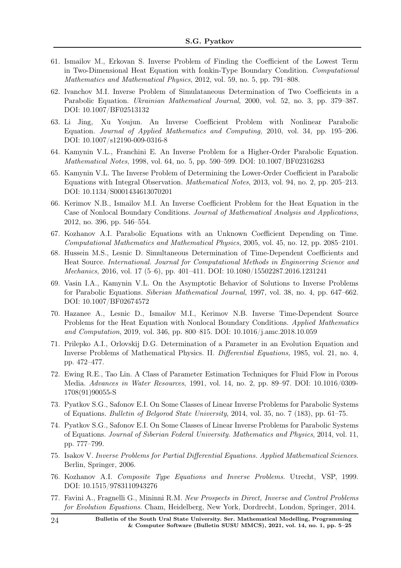- 61. Ismailov M., Erkovan S. Inverse Problem of Finding the Coefficient of the Lowest Term in Two-Dimensional Heat Equation with Ionkin-Type Boundary Condition. Computational Mathematics and Mathematical Physics, 2012, vol. 59, no. 5, pp. 791–808.
- 62. Ivanchov M.I. Inverse Problem of Simulataneous Determination of Two Coefficients in a Parabolic Equation. Ukrainian Mathematical Journal, 2000, vol. 52, no. 3, pp. 379–387. DOI: 10.1007/BF02513132
- 63. Li Jing, Xu Youjun. An Inverse Coefficient Problem with Nonlinear Parabolic Equation. Journal of Applied Mathematics and Computing, 2010, vol. 34, pp. 195–206. DOI: 10.1007/s12190-009-0316-8
- 64. Kamynin V.L., Franchini E. An Inverse Problem for a Higher-Order Parabolic Equation. Mathematical Notes, 1998, vol. 64, no. 5, pp. 590–599. DOI: 10.1007/BF02316283
- 65. Kamynin V.L. The Inverse Problem of Determining the Lower-Order Coefficient in Parabolic Equations with Integral Observation. Mathematical Notes, 2013, vol. 94, no. 2, pp. 205–213. DOI: 10.1134/S0001434613070201
- 66. Kerimov N.B., Ismailov M.I. An Inverse Coefficient Problem for the Heat Equation in the Case of Nonlocal Boundary Conditions. Journal of Mathematical Analysis and Applications, 2012, no. 396, pp. 546–554.
- 67. Kozhanov A.I. Parabolic Equations with an Unknown Coefficient Depending on Time. Computational Mathematics and Mathematical Physics, 2005, vol. 45, no. 12, pp. 2085–2101.
- 68. Hussein M.S., Lesnic D. Simultaneous Determination of Time-Dependent Coefficients and Heat Source. International. Journal for Computational Methods in Engineering Science and Mechanics, 2016, vol. 17 (5–6), pp. 401–411. DOI: 10.1080/15502287.2016.1231241
- 69. Vasin I.A., Kamynin V.L. On the Asymptotic Behavior of Solutions to Inverse Problems for Parabolic Equations. Siberian Mathematical Journal, 1997, vol. 38, no. 4, pp. 647–662. DOI: 10.1007/BF02674572
- 70. Hazanee A., Lesnic D., Ismailov M.I., Kerimov N.B. Inverse Time-Dependent Source Problems for the Heat Equation with Nonlocal Boundary Conditions. Applied Mathematics and Computation, 2019, vol. 346, pp. 800–815. DOI: 10.1016/j.amc.2018.10.059
- 71. Prilepko A.I., Orlovskij D.G. Determination of a Parameter in an Evolution Equation and Inverse Problems of Mathematical Physics. II. Differential Equations, 1985, vol. 21, no. 4, pp. 472–477.
- 72. Ewing R.E., Tao Lin. A Class of Parameter Estimation Techniques for Fluid Flow in Porous Media. Advances in Water Resources, 1991, vol. 14, no. 2, pp. 89–97. DOI: 10.1016/0309- 1708(91)90055-S
- 73. Pyatkov S.G., Safonov E.I. On Some Classes of Linear Inverse Problems for Parabolic Systems of Equations. Bulletin of Belgorod State University, 2014, vol. 35, no. 7 (183), pp. 61–75.
- 74. Pyatkov S.G., Safonov E.I. On Some Classes of Linear Inverse Problems for Parabolic Systems of Equations. Journal of Siberian Federal University. Mathematics and Physics, 2014, vol. 11, pp. 777–799.
- 75. Isakov V. Inverse Problems for Partial Differential Equations. Applied Mathematical Sciences. Berlin, Springer, 2006.
- 76. Kozhanov A.I. Composite Type Equations and Inverse Problems. Utrecht, VSP, 1999. DOI: 10.1515/9783110943276
- 77. Favini A., Fragnelli G., Mininni R.M. New Prospects in Direct, Inverse and Control Problems for Evolution Equations. Cham, Heidelberg, New York, Dordrecht, London, Springer, 2014.